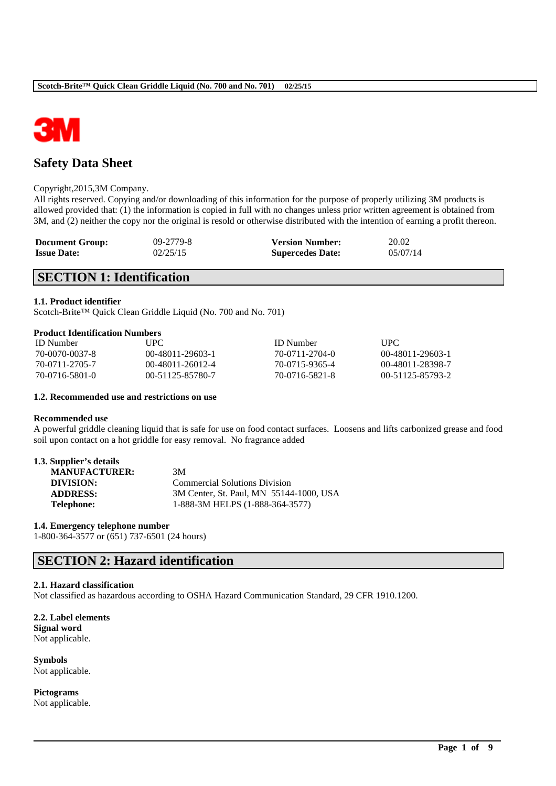

# **Safety Data Sheet**

### Copyright,2015,3M Company.

All rights reserved. Copying and/or downloading of this information for the purpose of properly utilizing 3M products is allowed provided that: (1) the information is copied in full with no changes unless prior written agreement is obtained from 3M, and (2) neither the copy nor the original is resold or otherwise distributed with the intention of earning a profit thereon.

| <b>Document Group:</b> | $09 - 2779 - 8$ | <b>Version Number:</b>  | 20.02    |
|------------------------|-----------------|-------------------------|----------|
| <b>Issue Date:</b>     | 02/25/15        | <b>Supercedes Date:</b> | 05/07/14 |

# **SECTION 1: Identification**

### **1.1. Product identifier**

Scotch-Brite™ Quick Clean Griddle Liquid (No. 700 and No. 701)

### **Product Identification Numbers**

| <b>ID</b> Number | UPC.                 | <b>ID</b> Number | <b>UPC</b>       |
|------------------|----------------------|------------------|------------------|
| 70-0070-0037-8   | $(0)$ -48011-29603-1 | 70-0711-2704-0   | 00-48011-29603-1 |
| 70-0711-2705-7   | 00-48011-26012-4     | 70-0715-9365-4   | 00-48011-28398-7 |
| 70-0716-5801-0   | 00-51125-85780-7     | 70-0716-5821-8   | 00-51125-85793-2 |

### **1.2. Recommended use and restrictions on use**

### **Recommended use**

A powerful griddle cleaning liquid that is safe for use on food contact surfaces. Loosens and lifts carbonized grease and food soil upon contact on a hot griddle for easy removal. No fragrance added

\_\_\_\_\_\_\_\_\_\_\_\_\_\_\_\_\_\_\_\_\_\_\_\_\_\_\_\_\_\_\_\_\_\_\_\_\_\_\_\_\_\_\_\_\_\_\_\_\_\_\_\_\_\_\_\_\_\_\_\_\_\_\_\_\_\_\_\_\_\_\_\_\_\_\_\_\_\_\_\_\_\_\_\_\_\_\_\_\_\_

| 1.3. Supplier's details |    |
|-------------------------|----|
| <b>MANUFACTURER:</b>    | 3M |

| <u>mandencionen.</u> | .                                       |
|----------------------|-----------------------------------------|
| DIVISION:            | <b>Commercial Solutions Division</b>    |
| <b>ADDRESS:</b>      | 3M Center, St. Paul, MN 55144-1000, USA |
| <b>Telephone:</b>    | 1-888-3M HELPS (1-888-364-3577)         |

### **1.4. Emergency telephone number**

1-800-364-3577 or (651) 737-6501 (24 hours)

# **SECTION 2: Hazard identification**

### **2.1. Hazard classification**

Not classified as hazardous according to OSHA Hazard Communication Standard, 29 CFR 1910.1200.

**2.2. Label elements Signal word** Not applicable.

**Symbols** Not applicable.

**Pictograms** Not applicable.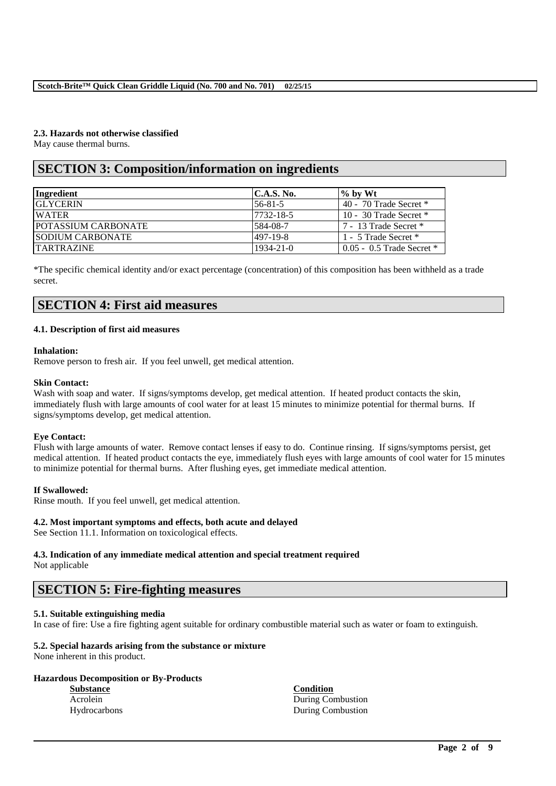## **2.3. Hazards not otherwise classified**

May cause thermal burns.

# **SECTION 3: Composition/information on ingredients**

| Ingredient                  | <b>C.A.S. No.</b> | $\%$ by Wt                    |
|-----------------------------|-------------------|-------------------------------|
| <b>GLYCERIN</b>             | $ 56-81-5 $       | 40 - 70 Trade Secret $*$      |
| <b>WATER</b>                | 7732-18-5         | 10 - 30 Trade Secret $*$      |
| <b>IPOTASSIUM CARBONATE</b> | 584-08-7          | 7 - 13 Trade Secret *         |
| <b>ISODIUM CARBONATE</b>    | 497-19-8          | 1 - 5 Trade Secret *          |
| <b>TARTRAZINE</b>           | $1934 - 21 - 0$   | $0.05 - 0.5$ Trade Secret $*$ |

\*The specific chemical identity and/or exact percentage (concentration) of this composition has been withheld as a trade secret.

# **SECTION 4: First aid measures**

## **4.1. Description of first aid measures**

### **Inhalation:**

Remove person to fresh air. If you feel unwell, get medical attention.

## **Skin Contact:**

Wash with soap and water. If signs/symptoms develop, get medical attention. If heated product contacts the skin, immediately flush with large amounts of cool water for at least 15 minutes to minimize potential for thermal burns. If signs/symptoms develop, get medical attention.

## **Eye Contact:**

Flush with large amounts of water. Remove contact lenses if easy to do. Continue rinsing. If signs/symptoms persist, get medical attention. If heated product contacts the eye, immediately flush eyes with large amounts of cool water for 15 minutes to minimize potential for thermal burns. After flushing eyes, get immediate medical attention.

## **If Swallowed:**

Rinse mouth. If you feel unwell, get medical attention.

## **4.2. Most important symptoms and effects, both acute and delayed**

See Section 11.1. Information on toxicological effects.

## **4.3. Indication of any immediate medical attention and special treatment required**

Not applicable

## **SECTION 5: Fire-fighting measures**

## **5.1. Suitable extinguishing media**

In case of fire: Use a fire fighting agent suitable for ordinary combustible material such as water or foam to extinguish.

\_\_\_\_\_\_\_\_\_\_\_\_\_\_\_\_\_\_\_\_\_\_\_\_\_\_\_\_\_\_\_\_\_\_\_\_\_\_\_\_\_\_\_\_\_\_\_\_\_\_\_\_\_\_\_\_\_\_\_\_\_\_\_\_\_\_\_\_\_\_\_\_\_\_\_\_\_\_\_\_\_\_\_\_\_\_\_\_\_\_

## **5.2. Special hazards arising from the substance or mixture**

None inherent in this product.

## **Hazardous Decomposition or By-Products**

**Substance Condition**

Acrolein During Combustion Hydrocarbons During Combustion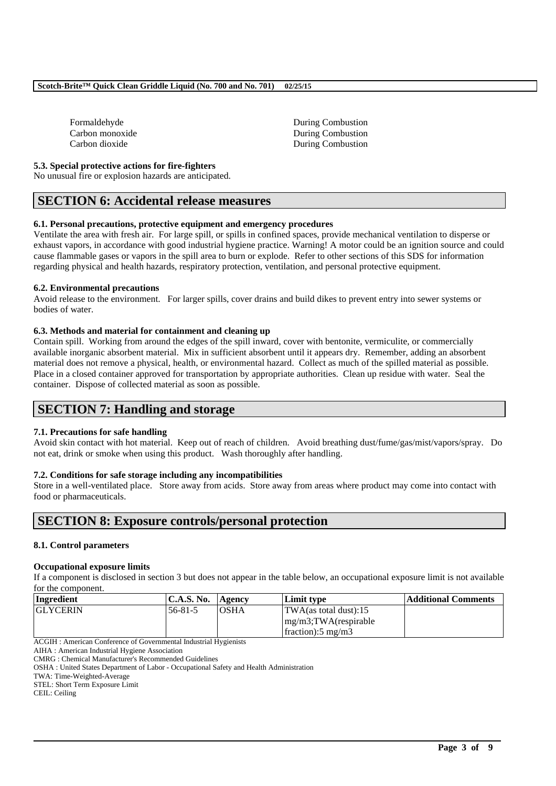| Formaldehyde    |
|-----------------|
| Carbon monoxide |
| Carbon dioxide  |

**During Combustion** During Combustion During Combustion

### **5.3. Special protective actions for fire-fighters**

No unusual fire or explosion hazards are anticipated.

## **SECTION 6: Accidental release measures**

### **6.1. Personal precautions, protective equipment and emergency procedures**

Ventilate the area with fresh air. For large spill, or spills in confined spaces, provide mechanical ventilation to disperse or exhaust vapors, in accordance with good industrial hygiene practice. Warning! A motor could be an ignition source and could cause flammable gases or vapors in the spill area to burn or explode. Refer to other sections of this SDS for information regarding physical and health hazards, respiratory protection, ventilation, and personal protective equipment.

### **6.2. Environmental precautions**

Avoid release to the environment. For larger spills, cover drains and build dikes to prevent entry into sewer systems or bodies of water.

## **6.3. Methods and material for containment and cleaning up**

Contain spill. Working from around the edges of the spill inward, cover with bentonite, vermiculite, or commercially available inorganic absorbent material. Mix in sufficient absorbent until it appears dry. Remember, adding an absorbent material does not remove a physical, health, or environmental hazard. Collect as much of the spilled material as possible. Place in a closed container approved for transportation by appropriate authorities. Clean up residue with water. Seal the container. Dispose of collected material as soon as possible.

# **SECTION 7: Handling and storage**

## **7.1. Precautions for safe handling**

Avoid skin contact with hot material. Keep out of reach of children. Avoid breathing dust/fume/gas/mist/vapors/spray. Do not eat, drink or smoke when using this product. Wash thoroughly after handling.

## **7.2. Conditions for safe storage including any incompatibilities**

Store in a well-ventilated place. Store away from acids. Store away from areas where product may come into contact with food or pharmaceuticals.

# **SECTION 8: Exposure controls/personal protection**

### **8.1. Control parameters**

### **Occupational exposure limits**

If a component is disclosed in section 3 but does not appear in the table below, an occupational exposure limit is not available for the component.

| Ingredient      | C.A.S. No.    | Agency      | Limit type                      | Additional Comments |
|-----------------|---------------|-------------|---------------------------------|---------------------|
| <b>GLYCERIN</b> | $56 - 81 - 5$ | <b>OSHA</b> | TWA(as total dust):15           |                     |
|                 |               |             | $mg/m3$ ; TWA(respirable        |                     |
|                 |               |             | $\frac{1}{2}$ fraction: 5 mg/m3 |                     |

\_\_\_\_\_\_\_\_\_\_\_\_\_\_\_\_\_\_\_\_\_\_\_\_\_\_\_\_\_\_\_\_\_\_\_\_\_\_\_\_\_\_\_\_\_\_\_\_\_\_\_\_\_\_\_\_\_\_\_\_\_\_\_\_\_\_\_\_\_\_\_\_\_\_\_\_\_\_\_\_\_\_\_\_\_\_\_\_\_\_

ACGIH : American Conference of Governmental Industrial Hygienists

TWA: Time-Weighted-Average

STEL: Short Term Exposure Limit

CEIL: Ceiling

AIHA : American Industrial Hygiene Association

CMRG : Chemical Manufacturer's Recommended Guidelines

OSHA : United States Department of Labor - Occupational Safety and Health Administration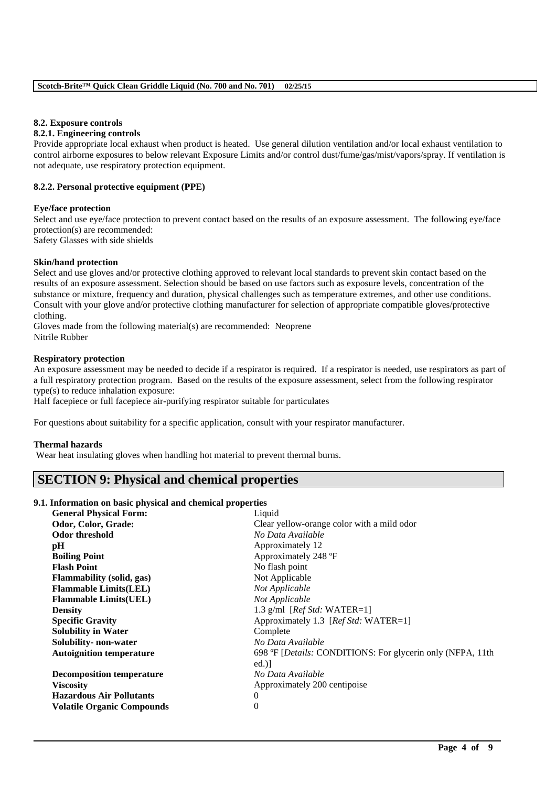### **8.2. Exposure controls**

### **8.2.1. Engineering controls**

Provide appropriate local exhaust when product is heated. Use general dilution ventilation and/or local exhaust ventilation to control airborne exposures to below relevant Exposure Limits and/or control dust/fume/gas/mist/vapors/spray. If ventilation is not adequate, use respiratory protection equipment.

### **8.2.2. Personal protective equipment (PPE)**

### **Eye/face protection**

Select and use eye/face protection to prevent contact based on the results of an exposure assessment. The following eye/face protection(s) are recommended:

Safety Glasses with side shields

### **Skin/hand protection**

Select and use gloves and/or protective clothing approved to relevant local standards to prevent skin contact based on the results of an exposure assessment. Selection should be based on use factors such as exposure levels, concentration of the substance or mixture, frequency and duration, physical challenges such as temperature extremes, and other use conditions. Consult with your glove and/or protective clothing manufacturer for selection of appropriate compatible gloves/protective clothing.

Gloves made from the following material(s) are recommended: Neoprene Nitrile Rubber

### **Respiratory protection**

An exposure assessment may be needed to decide if a respirator is required. If a respirator is needed, use respirators as part of a full respiratory protection program. Based on the results of the exposure assessment, select from the following respirator type(s) to reduce inhalation exposure:

Half facepiece or full facepiece air-purifying respirator suitable for particulates

For questions about suitability for a specific application, consult with your respirator manufacturer.

### **Thermal hazards**

Wear heat insulating gloves when handling hot material to prevent thermal burns.

# **SECTION 9: Physical and chemical properties**

### **9.1. Information on basic physical and chemical properties**

| <b>General Physical Form:</b>     | Liquid                                                     |
|-----------------------------------|------------------------------------------------------------|
| Odor, Color, Grade:               | Clear yellow-orange color with a mild odor                 |
| Odor threshold                    | No Data Available                                          |
| pH                                | Approximately 12                                           |
| <b>Boiling Point</b>              | Approximately 248 °F                                       |
| <b>Flash Point</b>                | No flash point                                             |
| <b>Flammability</b> (solid, gas)  | Not Applicable                                             |
| <b>Flammable Limits(LEL)</b>      | Not Applicable                                             |
| <b>Flammable Limits(UEL)</b>      | Not Applicable                                             |
| <b>Density</b>                    | 1.3 g/ml $[Ref Std: WATER=1]$                              |
| <b>Specific Gravity</b>           | Approximately 1.3 [Ref Std: WATER=1]                       |
| <b>Solubility in Water</b>        | Complete                                                   |
| Solubility- non-water             | No Data Available                                          |
| <b>Autoignition temperature</b>   | 698 °F [Details: CONDITIONS: For glycerin only (NFPA, 11th |
|                                   | ed.                                                        |
| <b>Decomposition temperature</b>  | No Data Available                                          |
| <b>Viscosity</b>                  | Approximately 200 centipoise                               |
| <b>Hazardous Air Pollutants</b>   | $\theta$                                                   |
| <b>Volatile Organic Compounds</b> | $\theta$                                                   |
|                                   |                                                            |

\_\_\_\_\_\_\_\_\_\_\_\_\_\_\_\_\_\_\_\_\_\_\_\_\_\_\_\_\_\_\_\_\_\_\_\_\_\_\_\_\_\_\_\_\_\_\_\_\_\_\_\_\_\_\_\_\_\_\_\_\_\_\_\_\_\_\_\_\_\_\_\_\_\_\_\_\_\_\_\_\_\_\_\_\_\_\_\_\_\_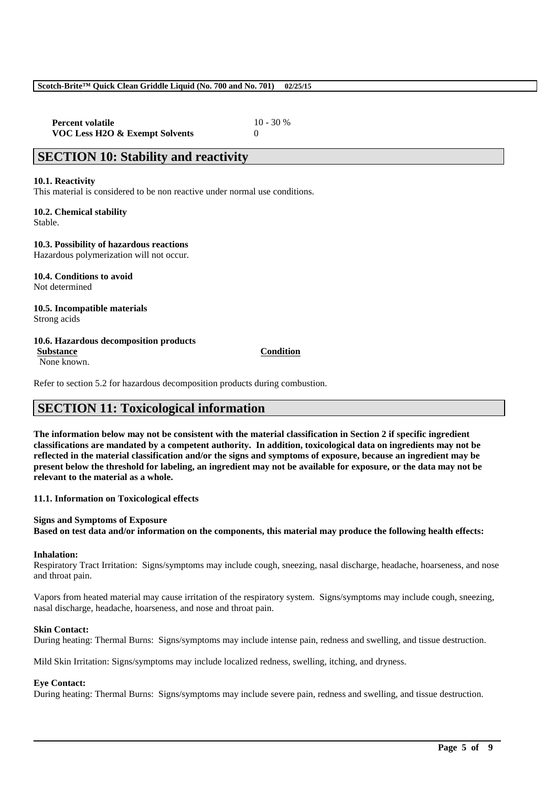**Percent volatile** 10 - 30 % **VOC Less H2O & Exempt Solvents** 0

## **SECTION 10: Stability and reactivity**

### **10.1. Reactivity**

This material is considered to be non reactive under normal use conditions.

**10.2. Chemical stability** Stable.

## **10.3. Possibility of hazardous reactions**

Hazardous polymerization will not occur.

**10.4. Conditions to avoid** Not determined

### **10.5. Incompatible materials** Strong acids

### **10.6. Hazardous decomposition products**

None known.

Refer to section 5.2 for hazardous decomposition products during combustion.

# **SECTION 11: Toxicological information**

**The information below may not be consistent with the material classification in Section 2 if specific ingredient classifications are mandated by a competent authority. In addition, toxicological data on ingredients may not be reflected in the material classification and/or the signs and symptoms of exposure, because an ingredient may be present below the threshold for labeling, an ingredient may not be available for exposure, or the data may not be relevant to the material as a whole.**

**11.1. Information on Toxicological effects**

### **Signs and Symptoms of Exposure**

**Based on test data and/or information on the components, this material may produce the following health effects:**

### **Inhalation:**

Respiratory Tract Irritation: Signs/symptoms may include cough, sneezing, nasal discharge, headache, hoarseness, and nose and throat pain.

Vapors from heated material may cause irritation of the respiratory system. Signs/symptoms may include cough, sneezing, nasal discharge, headache, hoarseness, and nose and throat pain.

### **Skin Contact:**

During heating: Thermal Burns: Signs/symptoms may include intense pain, redness and swelling, and tissue destruction.

Mild Skin Irritation: Signs/symptoms may include localized redness, swelling, itching, and dryness.

## **Eye Contact:**

During heating: Thermal Burns: Signs/symptoms may include severe pain, redness and swelling, and tissue destruction.

\_\_\_\_\_\_\_\_\_\_\_\_\_\_\_\_\_\_\_\_\_\_\_\_\_\_\_\_\_\_\_\_\_\_\_\_\_\_\_\_\_\_\_\_\_\_\_\_\_\_\_\_\_\_\_\_\_\_\_\_\_\_\_\_\_\_\_\_\_\_\_\_\_\_\_\_\_\_\_\_\_\_\_\_\_\_\_\_\_\_

### **Substance Condition**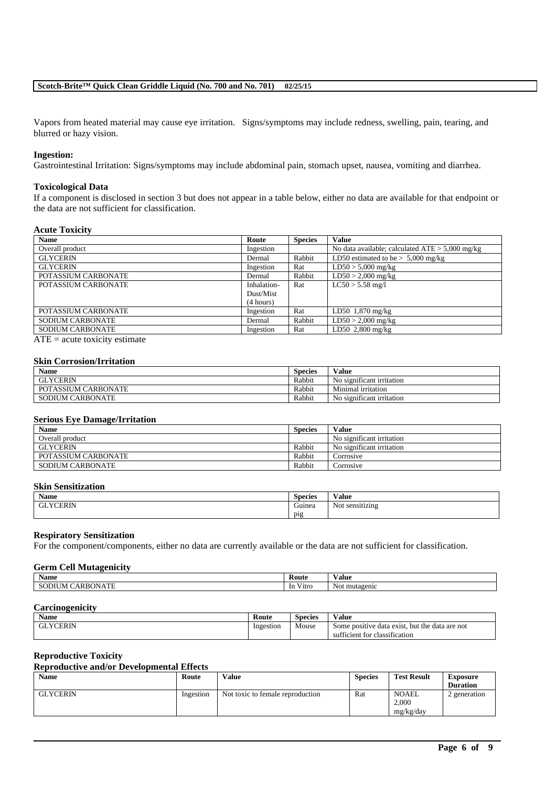## **Scotch-Brite™ Quick Clean Griddle Liquid (No. 700 and No. 701) 02/25/15**

Vapors from heated material may cause eye irritation. Signs/symptoms may include redness, swelling, pain, tearing, and blurred or hazy vision.

## **Ingestion:**

Gastrointestinal Irritation: Signs/symptoms may include abdominal pain, stomach upset, nausea, vomiting and diarrhea.

### **Toxicological Data**

If a component is disclosed in section 3 but does not appear in a table below, either no data are available for that endpoint or the data are not sufficient for classification.

## **Acute Toxicity**

| <b>Name</b>         | Route       | <b>Species</b> | <b>Value</b>                                      |
|---------------------|-------------|----------------|---------------------------------------------------|
| Overall product     | Ingestion   |                | No data available; calculated $ATE > 5,000$ mg/kg |
| <b>GLYCERIN</b>     | Dermal      | Rabbit         | LD50 estimated to be $> 5,000$ mg/kg              |
| <b>GLYCERIN</b>     | Ingestion   | Rat            | $LD50 > 5,000$ mg/kg                              |
| POTASSIUM CARBONATE | Dermal      | Rabbit         | $LD50 > 2,000$ mg/kg                              |
| POTASSIUM CARBONATE | Inhalation- | Rat            | $LC50 > 5.58$ mg/l                                |
|                     | Dust/Mist   |                |                                                   |
|                     | (4 hours)   |                |                                                   |
| POTASSIUM CARBONATE | Ingestion   | Rat            | LD50 $1,870$ mg/kg                                |
| SODIUM CARBONATE    | Dermal      | Rabbit         | $LD50 > 2,000$ mg/kg                              |
| SODIUM CARBONATE    | Ingestion   | Rat            | LD50 $2,800$ mg/kg                                |

 $ATE = acute$  toxicity estimate

### **Skin Corrosion/Irritation**

| $\mathbf{v}$<br>Name                   | <b>Species</b> | Value                                       |
|----------------------------------------|----------------|---------------------------------------------|
| <b>GLYCERIN</b>                        | Rabbit         | No significant irritation                   |
| <b>POTASSIUM C</b><br><b>CARBONATE</b> | Rabbit         | Minimal irritation                          |
| <b>SODIUM CARBONATE</b>                | Rabbit         | $\cdot$ $\sim$<br>No significant irritation |

### **Serious Eye Damage/Irritation**

| <b>Name</b>         | <b>Species</b> | Value                     |
|---------------------|----------------|---------------------------|
| Overall product     |                | No significant irritation |
| <b>GLYCERIN</b>     | Rabbit         | No significant irritation |
| POTASSIUM CARBONATE | Rabbit         | Corrosive                 |
| SODIUM CARBONATE    | Rabbit         | Corrosive                 |

## **Skin Sensitization**

| Name                 | $\sim$<br><b>Species</b> | $-1$<br>Value        |
|----------------------|--------------------------|----------------------|
| <b>YCERIN</b><br>GLY | $\sim$<br>Guinea         | : sensitizing<br>Not |
|                      | PI2                      |                      |

### **Respiratory Sensitization**

For the component/components, either no data are currently available or the data are not sufficient for classification.

#### **Germ Cell Mutagenicity**

| <b>Name</b>                | Route                             | $-1$<br>Value           |
|----------------------------|-----------------------------------|-------------------------|
| 'ARBONATE<br><b>SODIUM</b> | $-1$<br>-In<br>V <sub>1</sub> tro | - 7<br>mutagenic<br>Not |

### **Carcinogenicity**

| <b>COMPOSE</b><br>Species | $-1$<br>V alue                                                                                            |
|---------------------------|-----------------------------------------------------------------------------------------------------------|
| Mouse<br>.                | , but the<br>data<br>are not<br>e positive<br>data exist.<br>Some<br>classification<br>icient for<br>sutt |
| Ingestion                 |                                                                                                           |

#### **Reproductive Toxicity**

### **Reproductive and/or Developmental Effects**

| Name            | Route     | <b>Value</b>                     | <b>Species</b> | <b>Test Result</b>                 | <b>Exposure</b><br><b>Duration</b> |
|-----------------|-----------|----------------------------------|----------------|------------------------------------|------------------------------------|
| <b>GLYCERIN</b> | Ingestion | Not toxic to female reproduction | Rat            | <b>NOAEL</b><br>2.000<br>mg/kg/day | 2 generation                       |

\_\_\_\_\_\_\_\_\_\_\_\_\_\_\_\_\_\_\_\_\_\_\_\_\_\_\_\_\_\_\_\_\_\_\_\_\_\_\_\_\_\_\_\_\_\_\_\_\_\_\_\_\_\_\_\_\_\_\_\_\_\_\_\_\_\_\_\_\_\_\_\_\_\_\_\_\_\_\_\_\_\_\_\_\_\_\_\_\_\_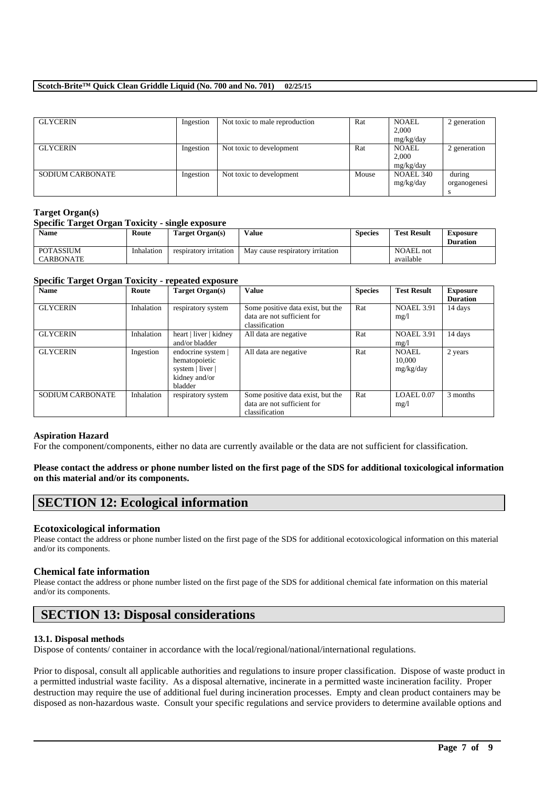## **Scotch-Brite™ Quick Clean Griddle Liquid (No. 700 and No. 701) 02/25/15**

| <b>GLYCERIN</b>         | Ingestion | Not toxic to male reproduction | Rat   | <b>NOAEL</b><br>2.000 | 2 generation |
|-------------------------|-----------|--------------------------------|-------|-----------------------|--------------|
|                         |           |                                |       | mg/kg/day             |              |
| <b>GLYCERIN</b>         | Ingestion | Not toxic to development       | Rat   | <b>NOAEL</b>          | 2 generation |
|                         |           |                                |       | 2,000<br>mg/kg/day    |              |
| <b>SODIUM CARBONATE</b> | Ingestion | Not toxic to development       | Mouse | NOAEL 340             | during       |
|                         |           |                                |       | mg/kg/day             | organogenesi |
|                         |           |                                |       |                       |              |

## **Target Organ(s)**

## **Specific Target Organ Toxicity - single exposure**

| <b>Name</b>                          | Route      | Target Organ(s)        | Value                            | <b>Species</b> | <b>Test Result</b>            | <b>Exposure</b><br><b>Duration</b> |
|--------------------------------------|------------|------------------------|----------------------------------|----------------|-------------------------------|------------------------------------|
| <b>POTASSIUM</b><br><b>CARBONATE</b> | Inhalation | respiratory irritation | May cause respiratory irritation |                | <b>NOAEL</b> not<br>available |                                    |

### **Specific Target Organ Toxicity - repeated exposure**

| <b>Name</b>             | Route      | <b>Target Organ(s)</b>                                                              | Value                                                                              | <b>Species</b> | <b>Test Result</b>                  | <b>Exposure</b> |
|-------------------------|------------|-------------------------------------------------------------------------------------|------------------------------------------------------------------------------------|----------------|-------------------------------------|-----------------|
|                         |            |                                                                                     |                                                                                    |                |                                     | <b>Duration</b> |
| <b>GLYCERIN</b>         | Inhalation | respiratory system                                                                  | Some positive data exist, but the<br>data are not sufficient for<br>classification | Rat            | <b>NOAEL 3.91</b><br>mg/1           | 14 days         |
| <b>GLYCERIN</b>         | Inhalation | heart   liver   kidney<br>and/or bladder                                            | All data are negative                                                              | Rat            | <b>NOAEL 3.91</b><br>mg/1           | 14 days         |
| <b>GLYCERIN</b>         | Ingestion  | endocrine system  <br>hematopoietic<br>system   liver  <br>kidney and/or<br>bladder | All data are negative                                                              | Rat            | <b>NOAEL</b><br>10,000<br>mg/kg/day | 2 years         |
| <b>SODIUM CARBONATE</b> | Inhalation | respiratory system                                                                  | Some positive data exist, but the<br>data are not sufficient for<br>classification | Rat            | LOAEL 0.07<br>mg/1                  | 3 months        |

## **Aspiration Hazard**

For the component/components, either no data are currently available or the data are not sufficient for classification.

## **Please contact the address or phone number listed on the first page of the SDS for additional toxicological information on this material and/or its components.**

# **SECTION 12: Ecological information**

## **Ecotoxicological information**

Please contact the address or phone number listed on the first page of the SDS for additional ecotoxicological information on this material and/or its components.

## **Chemical fate information**

Please contact the address or phone number listed on the first page of the SDS for additional chemical fate information on this material and/or its components.

# **SECTION 13: Disposal considerations**

## **13.1. Disposal methods**

Dispose of contents/ container in accordance with the local/regional/national/international regulations.

Prior to disposal, consult all applicable authorities and regulations to insure proper classification. Dispose of waste product in a permitted industrial waste facility. As a disposal alternative, incinerate in a permitted waste incineration facility. Proper destruction may require the use of additional fuel during incineration processes. Empty and clean product containers may be disposed as non-hazardous waste. Consult your specific regulations and service providers to determine available options and

\_\_\_\_\_\_\_\_\_\_\_\_\_\_\_\_\_\_\_\_\_\_\_\_\_\_\_\_\_\_\_\_\_\_\_\_\_\_\_\_\_\_\_\_\_\_\_\_\_\_\_\_\_\_\_\_\_\_\_\_\_\_\_\_\_\_\_\_\_\_\_\_\_\_\_\_\_\_\_\_\_\_\_\_\_\_\_\_\_\_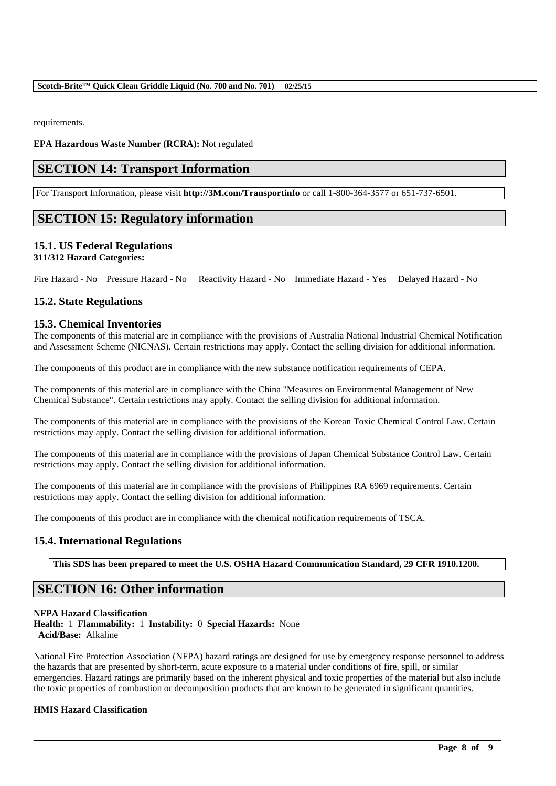requirements.

**EPA Hazardous Waste Number (RCRA):** Not regulated

# **SECTION 14: Transport Information**

For Transport Information, please visit **http://3M.com/Transportinfo** or call 1-800-364-3577 or 651-737-6501.

## **SECTION 15: Regulatory information**

## **15.1. US Federal Regulations**

## **311/312 Hazard Categories:**

Fire Hazard - No Pressure Hazard - No Reactivity Hazard - No Immediate Hazard - Yes Delayed Hazard - No

## **15.2. State Regulations**

## **15.3. Chemical Inventories**

The components of this material are in compliance with the provisions of Australia National Industrial Chemical Notification and Assessment Scheme (NICNAS). Certain restrictions may apply. Contact the selling division for additional information.

The components of this product are in compliance with the new substance notification requirements of CEPA.

The components of this material are in compliance with the China "Measures on Environmental Management of New Chemical Substance". Certain restrictions may apply. Contact the selling division for additional information.

The components of this material are in compliance with the provisions of the Korean Toxic Chemical Control Law. Certain restrictions may apply. Contact the selling division for additional information.

The components of this material are in compliance with the provisions of Japan Chemical Substance Control Law. Certain restrictions may apply. Contact the selling division for additional information.

The components of this material are in compliance with the provisions of Philippines RA 6969 requirements. Certain restrictions may apply. Contact the selling division for additional information.

The components of this product are in compliance with the chemical notification requirements of TSCA.

## **15.4. International Regulations**

**This SDS has been prepared to meet the U.S. OSHA Hazard Communication Standard, 29 CFR 1910.1200.**

## **SECTION 16: Other information**

### **NFPA Hazard Classification**

**Health:** 1 **Flammability:** 1 **Instability:** 0 **Special Hazards:** None **Acid/Base:** Alkaline

National Fire Protection Association (NFPA) hazard ratings are designed for use by emergency response personnel to address the hazards that are presented by short-term, acute exposure to a material under conditions of fire, spill, or similar emergencies. Hazard ratings are primarily based on the inherent physical and toxic properties of the material but also include the toxic properties of combustion or decomposition products that are known to be generated in significant quantities.

\_\_\_\_\_\_\_\_\_\_\_\_\_\_\_\_\_\_\_\_\_\_\_\_\_\_\_\_\_\_\_\_\_\_\_\_\_\_\_\_\_\_\_\_\_\_\_\_\_\_\_\_\_\_\_\_\_\_\_\_\_\_\_\_\_\_\_\_\_\_\_\_\_\_\_\_\_\_\_\_\_\_\_\_\_\_\_\_\_\_

### **HMIS Hazard Classification**